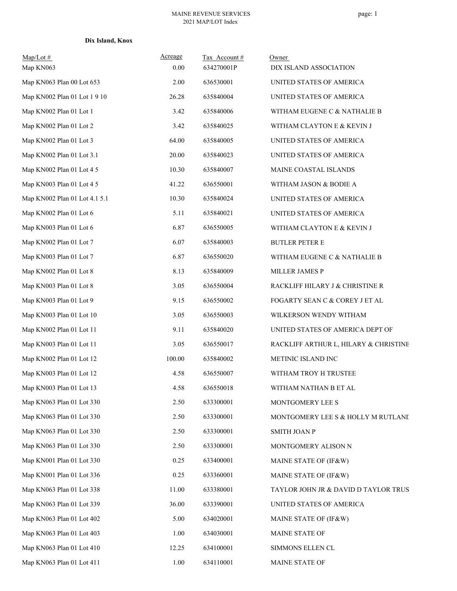| $Map/Lot \#$<br>Map KN063     | <b>Acreage</b><br>0.00 | Tax Account#<br>634270001P | Owner<br>DIX ISLAND ASSOCIATION       |
|-------------------------------|------------------------|----------------------------|---------------------------------------|
| Map KN063 Plan 00 Lot 653     | 2.00                   | 636530001                  | UNITED STATES OF AMERICA              |
| Map KN002 Plan 01 Lot 1 9 10  | 26.28                  | 635840004                  | UNITED STATES OF AMERICA              |
| Map KN002 Plan 01 Lot 1       | 3.42                   | 635840006                  | WITHAM EUGENE C & NATHALIE B          |
| Map KN002 Plan 01 Lot 2       | 3.42                   | 635840025                  | WITHAM CLAYTON E & KEVIN J            |
| Map KN002 Plan 01 Lot 3       | 64.00                  | 635840005                  | UNITED STATES OF AMERICA              |
| Map KN002 Plan 01 Lot 3.1     | 20.00                  | 635840023                  | UNITED STATES OF AMERICA              |
| Map KN002 Plan 01 Lot 4 5     | 10.30                  | 635840007                  | MAINE COASTAL ISLANDS                 |
| Map KN003 Plan 01 Lot 4 5     | 41.22                  | 636550001                  | WITHAM JASON & BODIE A                |
| Map KN002 Plan 01 Lot 4.1 5.1 | 10.30                  | 635840024                  | UNITED STATES OF AMERICA              |
| Map KN002 Plan 01 Lot 6       | 5.11                   | 635840021                  | UNITED STATES OF AMERICA              |
| Map KN003 Plan 01 Lot 6       | 6.87                   | 636550005                  | WITHAM CLAYTON E & KEVIN J            |
| Map KN002 Plan 01 Lot 7       | 6.07                   | 635840003                  | <b>BUTLER PETER E</b>                 |
| Map KN003 Plan 01 Lot 7       | 6.87                   | 636550020                  | WITHAM EUGENE C & NATHALIE B          |
| Map KN002 Plan 01 Lot 8       | 8.13                   | 635840009                  | MILLER JAMES P                        |
| Map KN003 Plan 01 Lot 8       | 3.05                   | 636550004                  | RACKLIFF HILARY J & CHRISTINE R       |
| Map KN003 Plan 01 Lot 9       | 9.15                   | 636550002                  | FOGARTY SEAN C & COREY J ET AL        |
| Map KN003 Plan 01 Lot 10      | 3.05                   | 636550003                  | WILKERSON WENDY WITHAM                |
| Map KN002 Plan 01 Lot 11      | 9.11                   | 635840020                  | UNITED STATES OF AMERICA DEPT OF      |
| Map KN003 Plan 01 Lot 11      | 3.05                   | 636550017                  | RACKLIFF ARTHUR L, HILARY & CHRISTINE |
| Map KN002 Plan 01 Lot 12      | 100.00                 | 635840002                  | METINIC ISLAND INC                    |
| Map KN003 Plan 01 Lot 12      | 4.58                   | 636550007                  | WITHAM TROY H TRUSTEE                 |
| Map KN003 Plan 01 Lot 13      | 4.58                   | 636550018                  | WITHAM NATHAN B ET AL                 |
| Map KN063 Plan 01 Lot 330     | 2.50                   | 633300001                  | MONTGOMERY LEE S                      |
| Map KN063 Plan 01 Lot 330     | 2.50                   | 633300001                  | MONTGOMERY LEE S & HOLLY M RUTLANE    |
| Map KN063 Plan 01 Lot 330     | 2.50                   | 633300001                  | SMITH JOAN P                          |
| Map KN063 Plan 01 Lot 330     | 2.50                   | 633300001                  | MONTGOMERY ALISON N                   |
| Map KN001 Plan 01 Lot 330     | 0.25                   | 633400001                  | MAINE STATE OF (IF&W)                 |
| Map KN001 Plan 01 Lot 336     | 0.25                   | 633360001                  | MAINE STATE OF (IF&W)                 |
| Map KN063 Plan 01 Lot 338     | 11.00                  | 633380001                  | TAYLOR JOHN JR & DAVID D TAYLOR TRUS  |
| Map KN063 Plan 01 Lot 339     | 36.00                  | 633390001                  | UNITED STATES OF AMERICA              |
| Map KN063 Plan 01 Lot 402     | 5.00                   | 634020001                  | MAINE STATE OF (IF&W)                 |
| Map KN063 Plan 01 Lot 403     | 1.00                   | 634030001                  | MAINE STATE OF                        |
| Map KN063 Plan 01 Lot 410     | 12.25                  | 634100001                  | SIMMONS ELLEN CL                      |
| Map KN063 Plan 01 Lot 411     | 1.00                   | 634110001                  | MAINE STATE OF                        |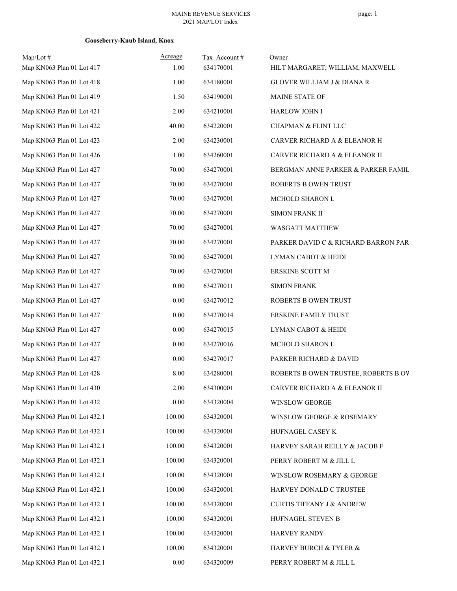# **Gooseberry-Knub Island, Knox**

| $Map/Lot \#$<br>Map KN063 Plan 01 Lot 417 | Acreage<br>1.00 | Tax Account#<br>634170001 | Owner<br>HILT MARGARET; WILLIAM, MAXWELL |
|-------------------------------------------|-----------------|---------------------------|------------------------------------------|
| Map KN063 Plan 01 Lot 418                 | 1.00            | 634180001                 | GLOVER WILLIAM J & DIANA R               |
| Map KN063 Plan 01 Lot 419                 | 1.50            | 634190001                 | MAINE STATE OF                           |
| Map KN063 Plan 01 Lot 421                 | 2.00            | 634210001                 | <b>HARLOW JOHN I</b>                     |
| Map KN063 Plan 01 Lot 422                 | 40.00           | 634220001                 | CHAPMAN & FLINT LLC                      |
| Map KN063 Plan 01 Lot 423                 | 2.00            | 634230001                 | CARVER RICHARD A & ELEANOR H             |
| Map KN063 Plan 01 Lot 426                 | 1.00            | 634260001                 | CARVER RICHARD A & ELEANOR H             |
| Map KN063 Plan 01 Lot 427                 | 70.00           | 634270001                 | BERGMAN ANNE PARKER & PARKER FAMIL       |
| Map KN063 Plan 01 Lot 427                 | 70.00           | 634270001                 | ROBERTS B OWEN TRUST                     |
| Map KN063 Plan 01 Lot 427                 | 70.00           | 634270001                 | MCHOLD SHARON L                          |
| Map KN063 Plan 01 Lot 427                 | 70.00           | 634270001                 | SIMON FRANK II                           |
| Map KN063 Plan 01 Lot 427                 | 70.00           | 634270001                 | WASGATT MATTHEW                          |
| Map KN063 Plan 01 Lot 427                 | 70.00           | 634270001                 | PARKER DAVID C & RICHARD BARRON PAR      |
| Map KN063 Plan 01 Lot 427                 | 70.00           | 634270001                 | LYMAN CABOT & HEIDI                      |
| Map KN063 Plan 01 Lot 427                 | 70.00           | 634270001                 | ERSKINE SCOTT M                          |
| Map KN063 Plan 01 Lot 427                 | 0.00            | 634270011                 | <b>SIMON FRANK</b>                       |
| Map KN063 Plan 01 Lot 427                 | $0.00\,$        | 634270012                 | ROBERTS B OWEN TRUST                     |
| Map KN063 Plan 01 Lot 427                 | 0.00            | 634270014                 | ERSKINE FAMILY TRUST                     |
| Map KN063 Plan 01 Lot 427                 | 0.00            | 634270015                 | LYMAN CABOT & HEIDI                      |
| Map KN063 Plan 01 Lot 427                 | $0.00\,$        | 634270016                 | MCHOLD SHARON L                          |
| Map KN063 Plan 01 Lot 427                 | $0.00\,$        | 634270017                 | PARKER RICHARD & DAVID                   |
| Map KN063 Plan 01 Lot 428                 | 8.00            | 634280001                 | ROBERTS B OWEN TRUSTEE, ROBERTS B OV     |
| Map KN063 Plan 01 Lot 430                 | 2.00            | 634300001                 | CARVER RICHARD A & ELEANOR H             |
| Map KN063 Plan 01 Lot 432                 | $0.00\,$        | 634320004                 | WINSLOW GEORGE                           |
| Map KN063 Plan 01 Lot 432.1               | 100.00          | 634320001                 | WINSLOW GEORGE & ROSEMARY                |
| Map KN063 Plan 01 Lot 432.1               | 100.00          | 634320001                 | HUFNAGEL CASEY K                         |
| Map KN063 Plan 01 Lot 432.1               | 100.00          | 634320001                 | HARVEY SARAH REILLY & JACOB F            |
| Map KN063 Plan 01 Lot 432.1               | 100.00          | 634320001                 | PERRY ROBERT M & JILL L                  |
| Map KN063 Plan 01 Lot 432.1               | 100.00          | 634320001                 | WINSLOW ROSEMARY & GEORGE                |
| Map KN063 Plan 01 Lot 432.1               | 100.00          | 634320001                 | HARVEY DONALD C TRUSTEE                  |
| Map KN063 Plan 01 Lot 432.1               | 100.00          | 634320001                 | <b>CURTIS TIFFANY J &amp; ANDREW</b>     |
| Map KN063 Plan 01 Lot 432.1               | 100.00          | 634320001                 | HUFNAGEL STEVEN B                        |
| Map KN063 Plan 01 Lot 432.1               | 100.00          | 634320001                 | HARVEY RANDY                             |
| Map KN063 Plan 01 Lot 432.1               | 100.00          | 634320001                 | HARVEY BURCH & TYLER &                   |
| Map KN063 Plan 01 Lot 432.1               | $0.00\,$        | 634320009                 | PERRY ROBERT M & JILL L                  |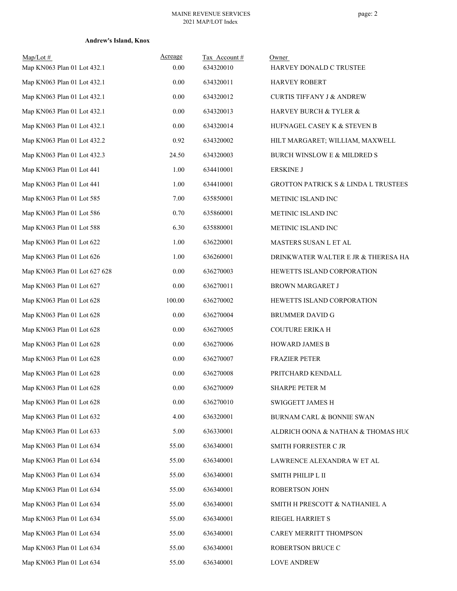## **Andrew's Island, Knox**

| $Map/Lot \#$<br>Map KN063 Plan 01 Lot 432.1 | <b>Acreage</b><br>0.00 | Tax Account#<br>634320010 | Owner<br>HARVEY DONALD C TRUSTEE                |
|---------------------------------------------|------------------------|---------------------------|-------------------------------------------------|
| Map KN063 Plan 01 Lot 432.1                 | 0.00                   | 634320011                 | <b>HARVEY ROBERT</b>                            |
| Map KN063 Plan 01 Lot 432.1                 | 0.00                   | 634320012                 | <b>CURTIS TIFFANY J &amp; ANDREW</b>            |
| Map KN063 Plan 01 Lot 432.1                 | 0.00                   | 634320013                 | HARVEY BURCH & TYLER &                          |
| Map KN063 Plan 01 Lot 432.1                 | 0.00                   | 634320014                 | HUFNAGEL CASEY K & STEVEN B                     |
| Map KN063 Plan 01 Lot 432.2                 | 0.92                   | 634320002                 | HILT MARGARET; WILLIAM, MAXWELL                 |
| Map KN063 Plan 01 Lot 432.3                 | 24.50                  | 634320003                 | <b>BURCH WINSLOW E &amp; MILDRED S</b>          |
| Map KN063 Plan 01 Lot 441                   | 1.00                   | 634410001                 | <b>ERSKINE J</b>                                |
| Map KN063 Plan 01 Lot 441                   | 1.00                   | 634410001                 | <b>GROTTON PATRICK S &amp; LINDA L TRUSTEES</b> |
| Map KN063 Plan 01 Lot 585                   | 7.00                   | 635850001                 | METINIC ISLAND INC                              |
| Map KN063 Plan 01 Lot 586                   | 0.70                   | 635860001                 | METINIC ISLAND INC                              |
| Map KN063 Plan 01 Lot 588                   | 6.30                   | 635880001                 | METINIC ISLAND INC                              |
| Map KN063 Plan 01 Lot 622                   | 1.00                   | 636220001                 | MASTERS SUSAN L ET AL                           |
| Map KN063 Plan 01 Lot 626                   | 1.00                   | 636260001                 | DRINKWATER WALTER E JR & THERESA HA             |
| Map KN063 Plan 01 Lot 627 628               | 0.00                   | 636270003                 | HEWETTS ISLAND CORPORATION                      |
| Map KN063 Plan 01 Lot 627                   | 0.00                   | 636270011                 | <b>BROWN MARGARET J</b>                         |
| Map KN063 Plan 01 Lot 628                   | 100.00                 | 636270002                 | HEWETTS ISLAND CORPORATION                      |
| Map KN063 Plan 01 Lot 628                   | 0.00                   | 636270004                 | <b>BRUMMER DAVID G</b>                          |
| Map KN063 Plan 01 Lot 628                   | 0.00                   | 636270005                 | <b>COUTURE ERIKA H</b>                          |
| Map KN063 Plan 01 Lot 628                   | 0.00                   | 636270006                 | <b>HOWARD JAMES B</b>                           |
| Map KN063 Plan 01 Lot 628                   | 0.00                   | 636270007                 | <b>FRAZIER PETER</b>                            |
| Map KN063 Plan 01 Lot 628                   | 0.00                   | 636270008                 | PRITCHARD KENDALL                               |
| Map KN063 Plan 01 Lot 628                   | $0.00\,$               | 636270009                 | SHARPE PETER M                                  |
| Map KN063 Plan 01 Lot 628                   | $0.00\,$               | 636270010                 | <b>SWIGGETT JAMES H</b>                         |
| Map KN063 Plan 01 Lot 632                   | 4.00                   | 636320001                 | <b>BURNAM CARL &amp; BONNIE SWAN</b>            |
| Map KN063 Plan 01 Lot 633                   | 5.00                   | 636330001                 | ALDRICH OONA & NATHAN & THOMAS HUC              |
| Map KN063 Plan 01 Lot 634                   | 55.00                  | 636340001                 | SMITH FORRESTER C JR                            |
| Map KN063 Plan 01 Lot 634                   | 55.00                  | 636340001                 | LAWRENCE ALEXANDRA W ET AL                      |
| Map KN063 Plan 01 Lot 634                   | 55.00                  | 636340001                 | SMITH PHILIP L II                               |
| Map KN063 Plan 01 Lot 634                   | 55.00                  | 636340001                 | ROBERTSON JOHN                                  |
| Map KN063 Plan 01 Lot 634                   | 55.00                  | 636340001                 | SMITH H PRESCOTT & NATHANIEL A                  |
| Map KN063 Plan 01 Lot 634                   | 55.00                  | 636340001                 | RIEGEL HARRIET S                                |
| Map KN063 Plan 01 Lot 634                   | 55.00                  | 636340001                 | CAREY MERRITT THOMPSON                          |
| Map KN063 Plan 01 Lot 634                   | 55.00                  | 636340001                 | ROBERTSON BRUCE C                               |
| Map KN063 Plan 01 Lot 634                   | 55.00                  | 636340001                 | LOVE ANDREW                                     |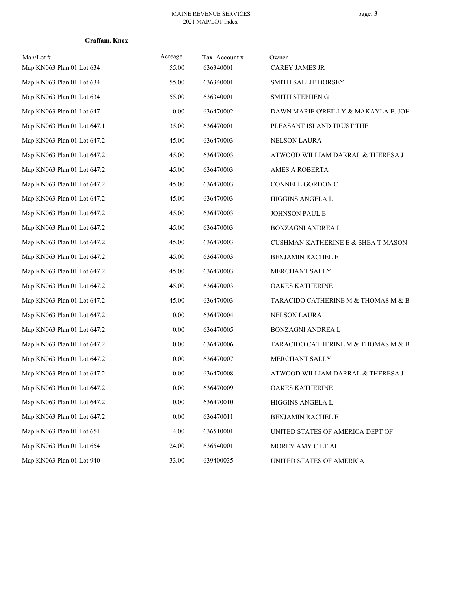### MAINE REVENUE SERVICES 2021 MAP/LOT Index

| Graffam, Knox |  |
|---------------|--|
|---------------|--|

| Map/Lot#                    | Acreage  | Tax Account# | Owner                                |
|-----------------------------|----------|--------------|--------------------------------------|
| Map KN063 Plan 01 Lot 634   | 55.00    | 636340001    | <b>CAREY JAMES JR</b>                |
| Map KN063 Plan 01 Lot 634   | 55.00    | 636340001    | <b>SMITH SALLIE DORSEY</b>           |
| Map KN063 Plan 01 Lot 634   | 55.00    | 636340001    | SMITH STEPHEN G                      |
| Map KN063 Plan 01 Lot 647   | $0.00\,$ | 636470002    | DAWN MARIE O'REILLY & MAKAYLA E. JOH |
| Map KN063 Plan 01 Lot 647.1 | 35.00    | 636470001    | PLEASANT ISLAND TRUST THE            |
| Map KN063 Plan 01 Lot 647.2 | 45.00    | 636470003    | NELSON LAURA                         |
| Map KN063 Plan 01 Lot 647.2 | 45.00    | 636470003    | ATWOOD WILLIAM DARRAL & THERESA J    |
| Map KN063 Plan 01 Lot 647.2 | 45.00    | 636470003    | AMES A ROBERTA                       |
| Map KN063 Plan 01 Lot 647.2 | 45.00    | 636470003    | CONNELL GORDON C                     |
| Map KN063 Plan 01 Lot 647.2 | 45.00    | 636470003    | HIGGINS ANGELA L                     |
| Map KN063 Plan 01 Lot 647.2 | 45.00    | 636470003    | JOHNSON PAUL E                       |
| Map KN063 Plan 01 Lot 647.2 | 45.00    | 636470003    | BONZAGNI ANDREA L                    |
| Map KN063 Plan 01 Lot 647.2 | 45.00    | 636470003    | CUSHMAN KATHERINE E & SHEA T MASON   |
| Map KN063 Plan 01 Lot 647.2 | 45.00    | 636470003    | BENJAMIN RACHEL E                    |
| Map KN063 Plan 01 Lot 647.2 | 45.00    | 636470003    | MERCHANT SALLY                       |
| Map KN063 Plan 01 Lot 647.2 | 45.00    | 636470003    | OAKES KATHERINE                      |
| Map KN063 Plan 01 Lot 647.2 | 45.00    | 636470003    | TARACIDO CATHERINE M & THOMAS M & B  |
| Map KN063 Plan 01 Lot 647.2 | 0.00     | 636470004    | NELSON LAURA                         |
| Map KN063 Plan 01 Lot 647.2 | 0.00     | 636470005    | BONZAGNI ANDREA L                    |
| Map KN063 Plan 01 Lot 647.2 | 0.00     | 636470006    | TARACIDO CATHERINE M & THOMAS M & B  |
| Map KN063 Plan 01 Lot 647.2 | 0.00     | 636470007    | MERCHANT SALLY                       |
| Map KN063 Plan 01 Lot 647.2 | 0.00     | 636470008    | ATWOOD WILLIAM DARRAL & THERESA J    |
| Map KN063 Plan 01 Lot 647.2 | 0.00     | 636470009    | OAKES KATHERINE                      |
| Map KN063 Plan 01 Lot 647.2 | $0.00\,$ | 636470010    | HIGGINS ANGELA L                     |
| Map KN063 Plan 01 Lot 647.2 | 0.00     | 636470011    | BENJAMIN RACHEL E                    |
| Map KN063 Plan 01 Lot 651   | 4.00     | 636510001    | UNITED STATES OF AMERICA DEPT OF     |
| Map KN063 Plan 01 Lot 654   | 24.00    | 636540001    | MOREY AMY C ET AL                    |
| Map KN063 Plan 01 Lot 940   | 33.00    | 639400035    | UNITED STATES OF AMERICA             |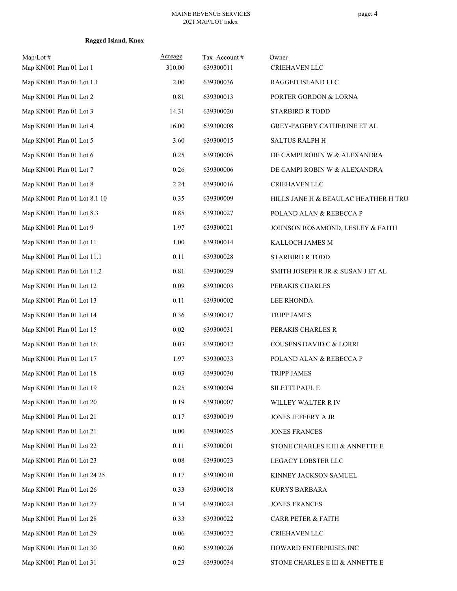# **Ragged Island, Knox**

| $Map/Lot \#$<br>Map KN001 Plan 01 Lot 1 | Acreage<br>310.00 | Tax Account#<br>639300011 | Owner<br>CRIEHAVEN LLC               |
|-----------------------------------------|-------------------|---------------------------|--------------------------------------|
| Map KN001 Plan 01 Lot 1.1               | 2.00              | 639300036                 | RAGGED ISLAND LLC                    |
| Map KN001 Plan 01 Lot 2                 | 0.81              | 639300013                 | PORTER GORDON & LORNA                |
| Map KN001 Plan 01 Lot 3                 | 14.31             | 639300020                 | STARBIRD R TODD                      |
| Map KN001 Plan 01 Lot 4                 | 16.00             | 639300008                 | GREY-PAGERY CATHERINE ET AL          |
| Map KN001 Plan 01 Lot 5                 | 3.60              | 639300015                 | <b>SALTUS RALPH H</b>                |
| Map KN001 Plan 01 Lot 6                 | 0.25              | 639300005                 | DE CAMPI ROBIN W & ALEXANDRA         |
| Map KN001 Plan 01 Lot 7                 | 0.26              | 639300006                 | DE CAMPI ROBIN W & ALEXANDRA         |
| Map KN001 Plan 01 Lot 8                 | 2.24              | 639300016                 | CRIEHAVEN LLC                        |
| Map KN001 Plan 01 Lot 8.1 10            | 0.35              | 639300009                 | HILLS JANE H & BEAULAC HEATHER H TRU |
| Map KN001 Plan 01 Lot 8.3               | 0.85              | 639300027                 | POLAND ALAN & REBECCA P              |
| Map KN001 Plan 01 Lot 9                 | 1.97              | 639300021                 | JOHNSON ROSAMOND, LESLEY & FAITH     |
| Map KN001 Plan 01 Lot 11                | 1.00              | 639300014                 | KALLOCH JAMES M                      |
| Map KN001 Plan 01 Lot 11.1              | 0.11              | 639300028                 | <b>STARBIRD R TODD</b>               |
| Map KN001 Plan 01 Lot 11.2              | 0.81              | 639300029                 | SMITH JOSEPH R JR & SUSAN J ET AL    |
| Map KN001 Plan 01 Lot 12                | 0.09              | 639300003                 | PERAKIS CHARLES                      |
| Map KN001 Plan 01 Lot 13                | 0.11              | 639300002                 | LEE RHONDA                           |
| Map KN001 Plan 01 Lot 14                | 0.36              | 639300017                 | <b>TRIPP JAMES</b>                   |
| Map KN001 Plan 01 Lot 15                | 0.02              | 639300031                 | PERAKIS CHARLES R                    |
| Map KN001 Plan 01 Lot 16                | 0.03              | 639300012                 | COUSENS DAVID C & LORRI              |
| Map KN001 Plan 01 Lot 17                | 1.97              | 639300033                 | POLAND ALAN & REBECCA P              |
| Map KN001 Plan 01 Lot 18                | 0.03              | 639300030                 | <b>TRIPP JAMES</b>                   |
| Map KN001 Plan 01 Lot 19                | 0.25              | 639300004                 | SILETTI PAUL E                       |
| Map KN001 Plan 01 Lot 20                | 0.19              | 639300007                 | WILLEY WALTER R IV                   |
| Map KN001 Plan 01 Lot 21                | 0.17              | 639300019                 | JONES JEFFERY A JR                   |
| Map KN001 Plan 01 Lot 21                | $0.00\,$          | 639300025                 | <b>JONES FRANCES</b>                 |
| Map KN001 Plan 01 Lot 22                | 0.11              | 639300001                 | STONE CHARLES E III & ANNETTE E      |
| Map KN001 Plan 01 Lot 23                | $0.08\,$          | 639300023                 | LEGACY LOBSTER LLC                   |
| Map KN001 Plan 01 Lot 24 25             | 0.17              | 639300010                 | KINNEY JACKSON SAMUEL                |
| Map KN001 Plan 01 Lot 26                | 0.33              | 639300018                 | <b>KURYS BARBARA</b>                 |
| Map KN001 Plan 01 Lot 27                | 0.34              | 639300024                 | <b>JONES FRANCES</b>                 |
| Map KN001 Plan 01 Lot 28                | 0.33              | 639300022                 | <b>CARR PETER &amp; FAITH</b>        |
| Map KN001 Plan 01 Lot 29                | $0.06\,$          | 639300032                 | CRIEHAVEN LLC                        |
| Map KN001 Plan 01 Lot 30                | 0.60              | 639300026                 | HOWARD ENTERPRISES INC               |
| Map KN001 Plan 01 Lot 31                | 0.23              | 639300034                 | STONE CHARLES E III & ANNETTE E      |